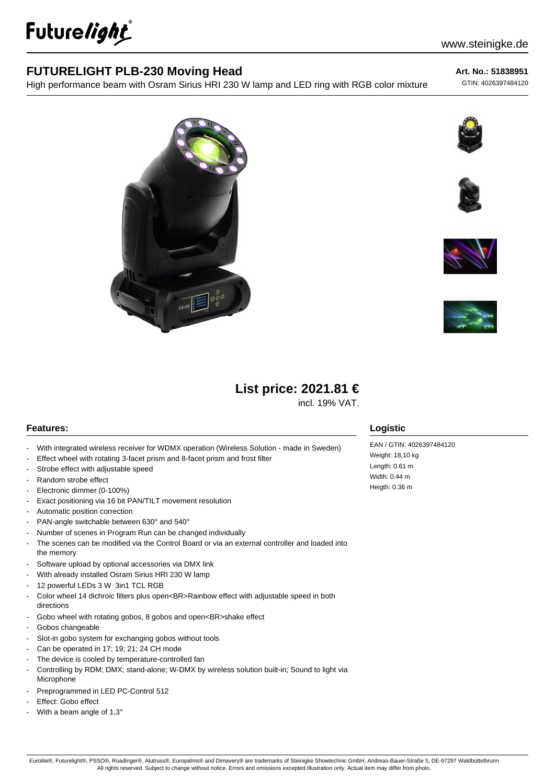

### **FUTURELIGHT PLB-230 Moving Head**

High performance beam with Osram Sirius HRI 230 W lamp and LED ring with RGB color mixture

**Art. No.: 51838951**

GTIN: 4026397484120











# **List price: 2021.81 €**

incl. 19% VAT.

#### **Features:**

- With integrated wireless receiver for WDMX operation (Wireless Solution made in Sweden)
- Effect wheel with rotating 3-facet prism and 8-facet prism and frost filter
- Strobe effect with adjustable speed
- Random strobe effect
- Electronic dimmer (0-100%)
- Exact positioning via 16 bit PAN/TILT movement resolution
- Automatic position correction
- PAN-angle switchable between 630° and 540°
- Number of scenes in Program Run can be changed individually
- The scenes can be modified via the Control Board or via an external controller and loaded into the memory
- Software upload by optional accessories via DMX link
- With already installed Osram Sirius HRI 230 W lamp
- 12 powerful LEDs 3 W 3in1 TCL RGB
- Color wheel 14 dichroic filters plus open<BR>Rainbow effect with adjustable speed in both directions
- Gobo wheel with rotating gobos, 8 gobos and open<BR>shake effect
- Gobos changeable
- Slot-in gobo system for exchanging gobos without tools
- Can be operated in 17; 19; 21; 24 CH mode
- The device is cooled by temperature-controlled fan
- Controlling by RDM; DMX; stand-alone; W-DMX by wireless solution built-in; Sound to light via Microphone
- Preprogrammed in LED PC-Control 512
- Effect: Gobo effect
- With a beam angle of 1,3°

#### **Logistic**

EAN / GTIN: 4026397484120 Weight: 18,10 kg Length: 0.61 m Width: 0.44 m Heigth: 0.36 m

Eurolite®, Futurelight®, PSSO®, Roadinger®, Alutruss®, Europalms® and Dimavery® are trademarks of Steinigke Showtechnic GmbH, Andreas-Bauer-Straße 5, DE-97297 Waldbüttelbrunn All rights reserved. Subject to change without notice. Errors and omissions excepted.Illustration only. Actual item may differ from photo.